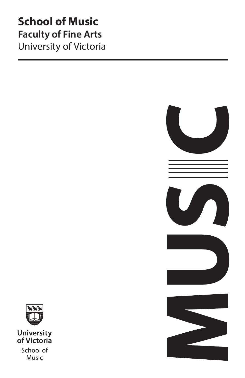# **School of Music Faculty of Fine Arts** University of Victoria





**University**<br>of Victoria School of Music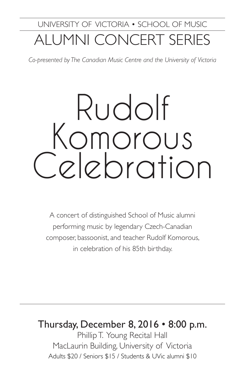# UNIVERSITY OF VICTORIA • SCHOOL OF MUSIC ALUMNI CONCERT SERIES

*Co-presented by The Canadian Music Centre and the University of Victoria*

# Rudolf Komorous Celebration

A concert of distinguished School of Music alumni performing music by legendary Czech-Canadian composer, bassoonist, and teacher Rudolf Komorous, in celebration of his 85th birthday.

## Thursday, December 8, 2016 • 8:00 p.m.

Phillip T. Young Recital Hall MacLaurin Building, University of Victoria Adults \$20 / Seniors \$15 / Students & UVic alumni \$10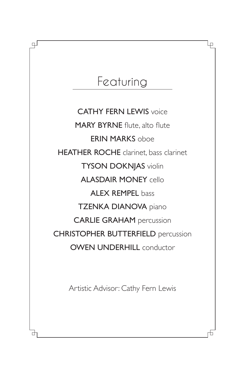# Featuring

பு

**CATHY FERN LEWIS voice** MARY BYRNE flute, alto flute ERIN MARKS oboe HEATHER ROCHE clarinet, bass clarinet TYSON DOKNJAS violin ALASDAIR MONEY cello ALEX REMPEL bass TZENKA DIANOVA piano CARLIE GRAHAM percussion CHRISTOPHER BUTTERFIELD percussion **OWEN UNDERHILL conductor** 

Artistic Advisor: Cathy Fern Lewis

Ļρ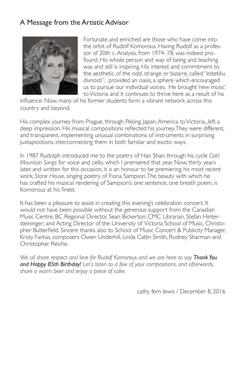#### A Message from the Artistic Advisor



Fortunate and enriched are those who have come into the orbit of Rudolf Komorous. Having Rudolf as a professor of 20th c. Analysis, from 1974–78, was indeed profound. His whole person and way of being and teaching was and still is inspiring. His interest and commitment to the aesthetic of the odd, strange or bizarre, called "estetiku divnosti", provided an oasis, a sphere which encouraged us to pursue our individual voices. He brought 'new music' to Victoria and it continues to thrive here as a result of his

influence. Now, many of his former students form a vibrant network across this country and beyond.

His complex journey from Prague, through Peking, Japan, America to Victoria...left a deep impression. His musical compositions reflected his journey. They were different, and transparent, implementing unusual combinations of instruments in surprising juxtapositions, interconnecting them in both familiar and exotic ways.

In 1987 Rudolph introduced me to the poetry of Han Shan, through his cycle *Cold Mountain Songs* for voice and cello, which I premiered that year. Now, thirty years later, and written for this occasion, it is an honour to be premiering his most recent work, *Stone House*, singing poetry of Fiona Sampson. The beauty with which he has crafted his musical rendering of Sampson's one sentence, one breath poem, is Komorous at his finest.

It has been a pleasure to assist in creating this evening's celebration concert. It would not have been possible without the generous support from the Canadian Music Centre, BC Regional Director, Sean Bickerton; CMC Librarian, Stefan Hintersteininger; and Acting Director of the University of Victoria School of Music, Christopher Butterfield. Sincere thanks also to School of Music Concert & Publicity Manager, Kristy Farkas, composers Owen Underhill, Linda Catlin Smith, Rodney Sharman and Christopher Reiche.

*We all share respect and love for Rudolf Komorous and we are here to say Thank You and Happy 85th Birthday! Let's listen to a few of your compositions, and afterwards, share a warm beer and enjoy a piece of cake.*

cathy fern lewis / December 8, 2016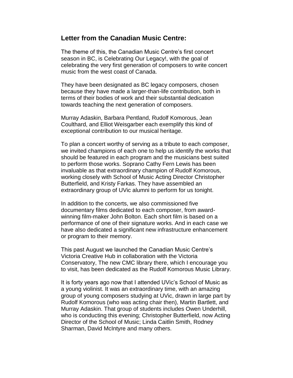## **Letter from the Canadian Music Centre:**

The theme of this, the Canadian Music Centre's first concert season in BC, is Celebrating Our Legacy!, with the goal of celebrating the very first generation of composers to write concert music from the west coast of Canada.

They have been designated as BC legacy composers, chosen because they have made a larger-than-life contribution, both in terms of their bodies of work and their substantial dedication towards teaching the next generation of composers.

Murray Adaskin, Barbara Pentland, Rudolf Komorous, Jean Coulthard, and Elliot Weisgarber each exemplify this kind of exceptional contribution to our musical heritage.

To plan a concert worthy of serving as a tribute to each composer, we invited champions of each one to help us identify the works that should be featured in each program and the musicians best suited to perform those works. Soprano Cathy Fern Lewis has been invaluable as that extraordinary champion of Rudolf Komorous, working closely with School of Music Acting Director Christopher Butterfield, and Kristy Farkas. They have assembled an extraordinary group of UVic alumni to perform for us tonight.

In addition to the concerts, we also commissioned five documentary films dedicated to each composer, from awardwinning film-maker John Bolton. Each short film is based on a performance of one of their signature works. And in each case we have also dedicated a significant new infrastructure enhancement or program to their memory.

This past August we launched the Canadian Music Centre's Victoria Creative Hub in collaboration with the Victoria Conservatory, The new CMC library there, which I encourage you to visit, has been dedicated as the Rudolf Komorous Music Library.

It is forty years ago now that I attended UVic's School of Music as a young violinist. It was an extraordinary time, with an amazing group of young composers studying at UVic, drawn in large part by Rudolf Komorous (who was acting chair then), Martin Bartlett, and Murray Adaskin. That group of students includes Owen Underhill, who is conducting this evening; Christopher Butterfield, now Acting Director of the School of Music; Linda Caitlin Smith, Rodney Sharman, David McIntyre and many others.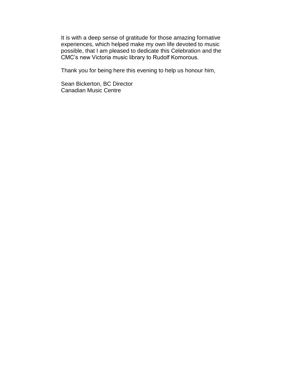It is with a deep sense of gratitude for those amazing formative experiences, which helped make my own life devoted to music possible, that I am pleased to dedicate this Celebration and the CMC's new Victoria music library to Rudolf Komorous.

Thank you for being here this evening to help us honour him,

Sean Bickerton, BC Director Canadian Music Centre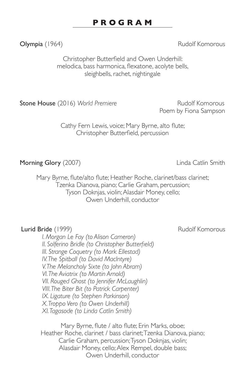#### **P R O G R A M**

Olympia (1964) **Company Act and Company Act of Act of Act of Act of Act of Act of Act of Act of Act of Act of Act of Act of Act of Act of Act of Act of Act of Act of Act of Act of Act of Act of Act of Act of Act of Act of** 

Christopher Butterfield and Owen Underhill: melodica, bass harmonica, flexatone, acolyte bells, sleighbells, rachet, nightingale

**Stone House** (2016) World Premiere **Rudolf Komorous** 

Poem by Fiona Sampson

Cathy Fern Lewis, voice; Mary Byrne, alto flute; Christopher Butterfield, percussion

Morning Glory (2007) **Morning** Glory (2007)

Mary Byrne, flute/alto flute; Heather Roche, clarinet/bass clarinet; Tzenka Dianova, piano; Carlie Graham, percussion; Tyson Doknjas, violin; Alasdair Money, cello; Owen Underhill, conductor

#### Lurid Bride (1999) **Rudolf Komorous** Rudolf Komorous

*I. Morgan Le Fay (to Alison Cameron) II. Solferino Bridle (to Christopher Butterfield) III. Strange Coquetry (to Mark Ellestad) IV. The Spitball (to David MacIntyre) V. The Melancholy Sixte (to John Abram) VI. The Aviatrix (to Martin Arnold) VII. Rouged Ghost (to Jennifer McLaughlin) VIII. The Biter Bit (to Patrick Carpenter) IX. Ligature (to Stephen Parkinson) X. Troppo Vero (to Owen Underhill) XI. Tagasode (to Linda Catlin Smith)*

Mary Byrne, flute / alto flute; Erin Marks, oboe; Heather Roche, clarinet / bass clarinet; Tzenka Dianova, piano; Carlie Graham, percussion; Tyson Doknjas, violin; Alasdair Money, cello; Alex Rempel, double bass; Owen Underhill, conductor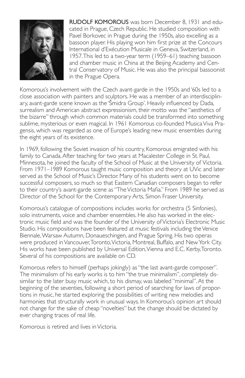

RUDOLF KOMOROUS was born December 8, 1931 and educated in Prague, Czech Republic. He studied composition with Pavel Borkovec in Prague during the 1950s, also excelling as a bassoon player. His playing won him first prize at the Concours International d'Exécution Musicale in Geneva, Switzerland, in 1957. This led to a two-year term (1959–61) teaching bassoon and chamber music in China at the Beijing Academy and Central Conservatory of Music. He was also the principal bassoonist in the Prague Opera.

Komorous's involvement with the Czech avant-garde in the 1950s and '60s led to a close association with painters and sculptors. He was a member of an interdisciplinary, avant-garde scene known as the 'Šmidra Group'. Heavily influenced by Dada, surrealism and American abstract expressionism, their motto was the "aesthetics of the bizarre" through which common materials could be transformed into something sublime, mysterious or even magical. In 1961 Komorous co-founded Musica Viva Pragensis, which was regarded as one of Europe's leading new music ensembles during the eight years of its existence.

In 1969, following the Soviet invasion of his country, Komorous emigrated with his family to Canada. After teaching for two years at Macalester College in St. Paul, Minnesota, he joined the faculty of the School of Music at the University of Victoria. From 1971–1989 Komorous taught music composition and theory at UVic and later served as the School of Music's Director. Many of his students went on to become successful composers, so much so that Eastern Canadian composers began to refer to their country's avant-garde scene as "The Victoria Mafia." From 1989 he served as Director of the School for the Contemporary Arts, Simon Fraser University.

Komorous's catalogue of compositions includes works for orchestra (5 Sinfonies), solo instruments, voice and chamber ensembles. He also has worked in the electronic music field and was the founder of the University of Victoria's Electronic Music Studio. His compositions have been featured at music festivals including the Venice Biennale, Warsaw Autumn, Donaueschingen, and Prague Spring. His two operas were produced in Vancouver, Toronto, Victoria, Montreal, Buffalo, and New York City. His works have been published by Universal Edition, Vienna and E.C. Kerby, Toronto. Several of his compositions are available on CD.

Komorous refers to himself (perhaps jokingly) as "the last avant-garde composer". The minimalism of his early works is to him "the true minimalism", completely dissimilar to the later busy music which, to his dismay, was labeled "minimal". At the beginning of the seventies, following a short period of searching for laws of proportions in music, he started exploring the possibilities of writing new melodies and harmonies that structurally work in unusual ways. In Komorous's opinion art should not change for the sake of cheap "novelties" but the change should be dictated by ever changing traces of real life.

Komorous is retired and lives in Victoria.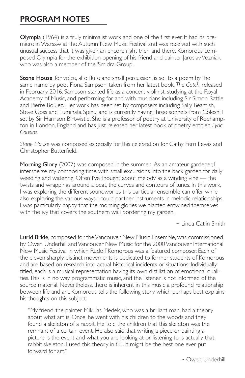### **PROGRAM NOTES**

Olympia (1964) is a truly minimalist work and one of the first ever. It had its premiere in Warsaw at the Autumn New Music Festival and was received with such unusual success that it was given an encore right then and there. Komorous composed Olympia for the exhibition opening of his friend and painter Jaroslav Vozniak, who was also a member of the 'Smidra Group'.

Stone House, for voice, alto flute and small percussion, is set to a poem by the same name by poet Fiona Sampson, taken from her latest book, *The Catch*, released in February 2016. Sampson started life as a concert violinist, studying at the Royal Academy of Music, and performing for and with musicians including Sir Simon Rattle and Pierre Boulez. Her work has been set by composers including Sally Beamish, Steve Goss and Luminata Spinu, and is currently having three sonnets from Coleshill set by Sir Harrison Birtwistle. She is a professor of poetry at University of Roehampton in London, England and has just released her latest book of poetry entitled *Lyric Cousins*.

*Stone House* was composed especially for this celebration for Cathy Fern Lewis and Christopher Butterfield.

Morning Glory (2007) was composed in the summer. As an amateur gardener, I intersperse my composing time with small excursions into the back garden for daily weeding and watering. Often I've thought about melody as a winding vine — the twists and wrappings around a beat, the curves and contours of tunes. In this work, I was exploring the different soundworlds this particular ensemble can offer, while also exploring the various ways I could partner instruments in melodic relationships. I was particularly happy that the morning glories we planted entwined themselves with the ivy that covers the southern wall bordering my garden.

 $\sim$  Linda Catlin Smith

Lurid Bride, composed for the Vancouver New Music Ensemble, was commissioned by Owen Underhill and Vancouver New Music for the 2000 Vancouver International New Music Festival in which Rudolf Komorous was a featured composer. Each of the eleven sharply distinct movements is dedicated to former students of Komorous and are based on research into actual historical incidents or situations. Individually titled, each is a musical representation having its own distillation of emotional qualities. This is in no way programmatic music, and the listener is not informed of the source material. Nevertheless, there is inherent in this music a profound relationship between life and art. Komorous tells the following story which perhaps best explains his thoughts on this subject:

"My friend, the painter Mikulas Medek, who was a brilliant man, had a theory about what art is. Once, he went with his children to the woods and they found a skeleton of a rabbit. He told the children that this skeleton was the remnant of a certain event. He also said that writing a piece or painting a picture is the event and what you are looking at or listening to is actually that rabbit skeleton. I used this theory in full. It might be the best one ever put forward for art."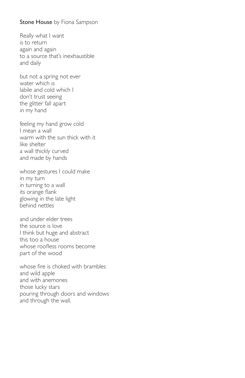#### Stone House by Fiona Sampson

Really what I want is to return again and again to a source that's inexhaustible and daily

but not a spring not ever water which is labile and cold which I don't trust seeing the glitter fall apart in my hand

feeling my hand grow cold I mean a wall warm with the sun thick with it like shelter a wall thickly curved and made by hands

whose gestures I could make in my turn in turning to a wall its orange flank glowing in the late light behind nettles

and under elder trees the source is love I think but huge and abstract this too a house whose roofless rooms become part of the wood

whose fire is choked with brambles and wild apple and with anemones those lucky stars pouring through doors and windows and through the wall.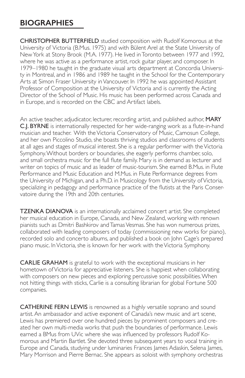## **BIOGRAPHIES**

CHRISTOPHER BUTTERFIELD studied composition with Rudolf Komorous at the University of Victoria (B.Mus. 1975) and with Bülent Arel at the State University of New York at Stony Brook (M.A. 1977). He lived in Toronto between 1977 and 1992, where he was active as a performance artist, rock guitar player, and composer. In 1979–1980 he taught in the graduate visual arts department at Concordia University in Montreal, and in 1986 and 1989 he taught in the School for the Contemporary Arts at Simon Fraser University in Vancouver. In 1992 he was appointed Assistant Professor of Composition at the University of Victoria and is currently the Acting Director of the School of Music. His music has been performed across Canada and in Europe, and is recorded on the CBC and Artifact labels.

An active teacher, adjudicator, lecturer, recording artist, and published author, **MARY** C.J. BYRNE is internationally respected for her wide-ranging work as a flute-in-hand musician and teacher. With the Victoria Conservatory of Music, Camosun College, and her own Piccolino Studio, she boasts thriving studios and classrooms of students at all ages and stages of musical interest. She is a regular performer with the Victoria Symphony. Without borders or boundaries, she eagerly performs chamber, solo, and small orchestra music for the full flute family. Mary is in demand as lecturer and writer on topics of music and as leader of music-tourism. She earned B.Mus. in Flute Performance and Music Education and M.Mus. in Flute Performance degrees from the University of Michigan, and a Ph.D. in Musicology from the University of Victoria, specializing in pedagogy and performance practice of the flutists at the Paris Conservatoire during the 19th and 20th centuries.

TZENKA DIANOVA is an internationally acclaimed concert artist. She completed her musical education in Europe, Canada, and New Zealand, working with renown pianists such as Dmitri Bashkirov and Tamas Vesmas. She has won numerous prizes, collaborated with leading composers of today (commissioning new works for piano), recorded solo and concerto albums, and published a book on John Cage's prepared piano music. In Victoria, she is known for her work with the Victoria Symphony.

CARLIE GRAHAM is grateful to work with the exceptional musicians in her hometown of Victoria for appreciative listeners. She is happiest when collaborating with composers on new pieces and exploring percussive sonic possibilities. When not hitting things with sticks, Carlie is a consulting librarian for global Fortune 500 companies.

CATHERINE FERN LEWIS is renowned as a highly versatile soprano and sound artist. An ambassador and active exponent of Canada's new music and art scene, Lewis has premiered over one hundred pieces by prominent composers and created her own multi-media works that push the boundaries of performance. Lewis earned a BMus from UVic where she was influenced by professors Rudolf Komorous and Martin Bartlet. She devoted three subsequent years to vocal training in Europe and Canada, studying under luminaries Frances James Adaskin, Selena James, Mary Morrison and Pierre Bernac. She appears as soloist with symphony orchestras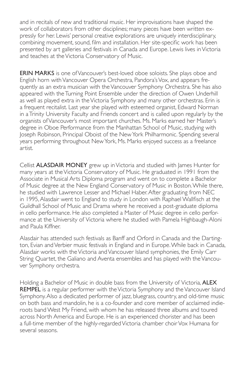and in recitals of new and traditional music. Her improvisations have shaped the work of collaborators from other disciplines; many pieces have been written expressly for her. Lewis' personal creative explorations are uniquely interdisciplinary, combining movement, sound, film and installation. Her site-specific work has been presented by art galleries and festivals in Canada and Europe. Lewis lives in Victoria and teaches at the Victoria Conservatory of Music.

ERIN MARKS is one of Vancouver's best-loved oboe soloists. She plays oboe and English horn with Vancouver Opera Orchestra, Pandora's Vox, and appears frequently as an extra musician with the Vancouver Symphony Orchestra. She has also appeared with the Turning Point Ensemble under the direction of Owen Underhill as well as played extra in the Victoria Symphony and many other orchestras. Erin is a frequent recitalist. Last year she played with esteemed organist, Edward Norman in a Trinity University Faculty and Friends concert and is called upon regularly by the organists of Vancouver's most important churches. Ms. Marks earned her Master's degree in Oboe Performance from the Manhattan School of Music, studying with Joseph Robinson, Principal Oboist of the New York Philharmonic. Spending several years performing throughout New York, Ms. Marks enjoyed success as a freelance artist.

Cellist ALASDAIR MONEY grew up in Victoria and studied with James Hunter for many years at the Victoria Conservatory of Music. He graduated in 1991 from the Associate in Musical Arts Diploma program and went on to complete a Bachelor of Music degree at the New England Conservatory of Music in Boston. While there, he studied with Lawrence Lesser and Michael Haber. After graduating from NEC in 1995, Alasdair went to England to study in London with Raphael Wallfisch at the Guildhall School of Music and Drama where he received a post-graduate diploma in cello performance. He also completed a Master of Music degree in cello performance at the University of Victoria where he studied with Pamela Highbaugh-Aloni and Paula Kiffner.

Alasdair has attended such festivals as Banff and Orford in Canada and the Dartington, Evian and Verbier music festivals in England and in Europe. While back in Canada, Alasdair works with the Victoria and Vancouver Island symphonies, the Emily Carr String Quartet, the Galiano and Aventa ensembles and has played with the Vancouver Symphony orchestra.

Holding a Bachelor of Music in double bass from the University of Victoria, **ALEX** REMPEL is a regular performer with the Victoria Symphony and the Vancouver Island Symphony. Also a dedicated performer of jazz, bluegrass, country, and old-time music on both bass and mandolin, he is a co-founder and core member of acclaimed indieroots band West My Friend, with whom he has released three albums and toured across North America and Europe. He is an experienced chorister and has been a full-time member of the highly-regarded Victoria chamber choir Vox Humana for several seasons.